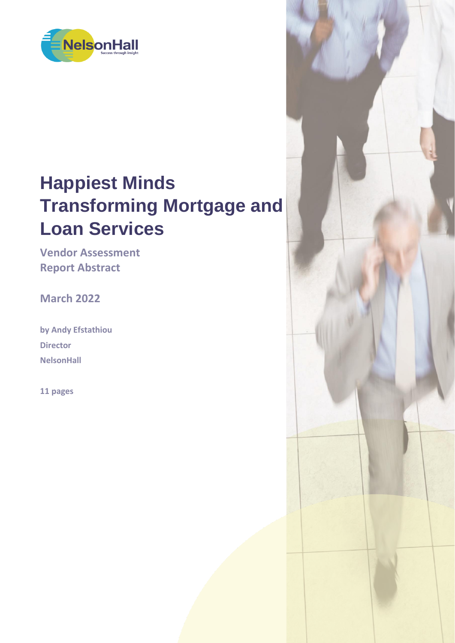

# **Happiest Minds Transforming Mortgage and Loan Services**

**Vendor Assessment Report Abstract**

**March 2022**

**by Andy Efstathiou Director NelsonHall**

**11 pages**

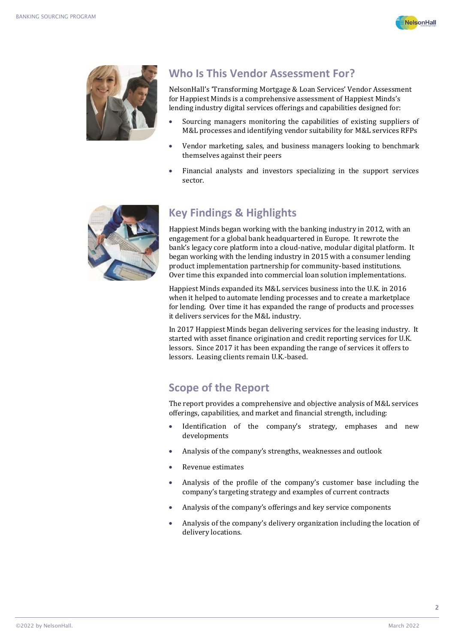



#### **Who Is This Vendor Assessment For?**

NelsonHall's 'Transforming Mortgage & Loan Services' Vendor Assessment for Happiest Minds is a comprehensive assessment of Happiest Minds's lending industry digital services offerings and capabilities designed for:

- Sourcing managers monitoring the capabilities of existing suppliers of M&L processes and identifying vendor suitability for M&L services RFPs
- Vendor marketing, sales, and business managers looking to benchmark themselves against their peers
- Financial analysts and investors specializing in the support services sector.



### **Key Findings & Highlights**

Happiest Minds began working with the banking industry in 2012, with an engagement for a global bank headquartered in Europe. It rewrote the bank's legacy core platform into a cloud-native, modular digital platform. It began working with the lending industry in 2015 with a consumer lending product implementation partnership for community-based institutions. Over time this expanded into commercial loan solution implementations.

Happiest Minds expanded its M&L services business into the U.K. in 2016 when it helped to automate lending processes and to create a marketplace for lending. Over time it has expanded the range of products and processes it delivers services for the M&L industry.

In 2017 Happiest Minds began delivering services for the leasing industry. It started with asset finance origination and credit reporting services for U.K. lessors. Since 2017 it has been expanding the range of services it offers to lessors. Leasing clients remain U.K.-based.

### **Scope of the Report**

The report provides a comprehensive and objective analysis of M&L services offerings, capabilities, and market and financial strength, including:

- Identification of the company's strategy, emphases and new developments
- Analysis of the company's strengths, weaknesses and outlook
- Revenue estimates
- Analysis of the profile of the company's customer base including the company's targeting strategy and examples of current contracts
- Analysis of the company's offerings and key service components
- Analysis of the company's delivery organization including the location of delivery locations.